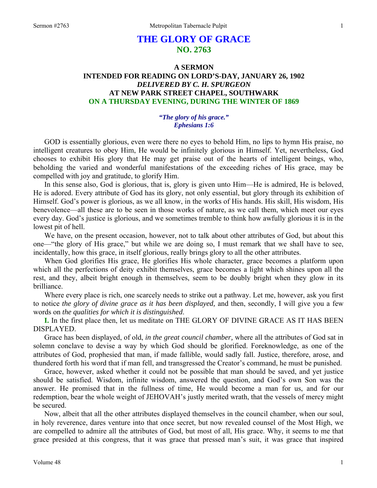# **THE GLORY OF GRACE NO. 2763**

## **A SERMON INTENDED FOR READING ON LORD'S-DAY, JANUARY 26, 1902**  *DELIVERED BY C. H. SPURGEON*  **AT NEW PARK STREET CHAPEL, SOUTHWARK ON A THURSDAY EVENING, DURING THE WINTER OF 1869**

## *"The glory of his grace." Ephesians 1:6*

GOD is essentially glorious, even were there no eyes to behold Him, no lips to hymn His praise, no intelligent creatures to obey Him, He would be infinitely glorious in Himself. Yet, nevertheless, God chooses to exhibit His glory that He may get praise out of the hearts of intelligent beings, who, beholding the varied and wonderful manifestations of the exceeding riches of His grace, may be compelled with joy and gratitude, to glorify Him.

In this sense also, God is glorious, that is, glory is given unto Him—He is admired, He is beloved, He is adored. Every attribute of God has its glory, not only essential, but glory through its exhibition of Himself. God's power is glorious, as we all know, in the works of His hands. His skill, His wisdom, His benevolence—all these are to be seen in those works of nature, as we call them, which meet our eyes every day. God's justice is glorious, and we sometimes tremble to think how awfully glorious it is in the lowest pit of hell.

We have, on the present occasion, however, not to talk about other attributes of God, but about this one—"the glory of His grace," but while we are doing so, I must remark that we shall have to see, incidentally, how this grace, in itself glorious, really brings glory to all the other attributes.

When God glorifies His grace, He glorifies His whole character, grace becomes a platform upon which all the perfections of deity exhibit themselves, grace becomes a light which shines upon all the rest, and they, albeit bright enough in themselves, seem to be doubly bright when they glow in its brilliance.

Where every place is rich, one scarcely needs to strike out a pathway. Let me, however, ask you first to notice *the glory of divine grace as it has been displayed,* and then, secondly, I will give you a few words on *the qualities for which it is distinguished*.

**I.** In the first place then, let us meditate on THE GLORY OF DIVINE GRACE AS IT HAS BEEN DISPLAYED.

Grace has been displayed, of old, *in the great council chamber,* where all the attributes of God sat in solemn conclave to devise a way by which God should be glorified. Foreknowledge, as one of the attributes of God, prophesied that man, if made fallible, would sadly fall. Justice, therefore, arose, and thundered forth his word that if man fell, and transgressed the Creator's command, he must be punished.

Grace, however, asked whether it could not be possible that man should be saved, and yet justice should be satisfied. Wisdom, infinite wisdom, answered the question, and God's own Son was the answer. He promised that in the fullness of time, He would become a man for us, and for our redemption, bear the whole weight of JEHOVAH's justly merited wrath, that the vessels of mercy might be secured.

Now, albeit that all the other attributes displayed themselves in the council chamber, when our soul, in holy reverence, dares venture into that once secret, but now revealed counsel of the Most High, we are compelled to admire all the attributes of God, but most of all, His grace. Why, it seems to me that grace presided at this congress, that it was grace that pressed man's suit, it was grace that inspired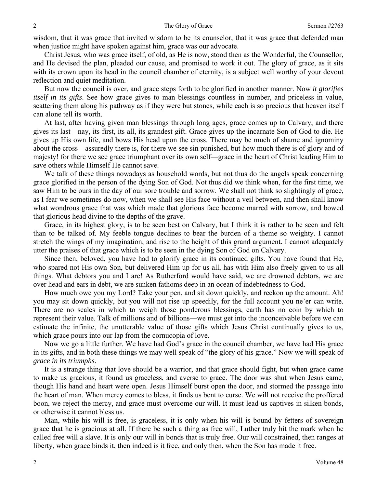wisdom, that it was grace that invited wisdom to be its counselor, that it was grace that defended man when justice might have spoken against him, grace was our advocate.

Christ Jesus, who was grace itself, of old, as He is now, stood then as the Wonderful, the Counsellor, and He devised the plan, pleaded our cause, and promised to work it out. The glory of grace, as it sits with its crown upon its head in the council chamber of eternity, is a subject well worthy of your devout reflection and quiet meditation.

But now the council is over, and grace steps forth to be glorified in another manner. Now *it glorifies itself in its gifts*. See how grace gives to man blessings countless in number, and priceless in value, scattering them along his pathway as if they were but stones, while each is so precious that heaven itself can alone tell its worth.

At last, after having given man blessings through long ages, grace comes up to Calvary, and there gives its last—nay, its first, its all, its grandest gift. Grace gives up the incarnate Son of God to die. He gives up His own life, and bows His head upon the cross. There may be much of shame and ignominy about the cross—assuredly there is, for there we see sin punished, but how much there is of glory and of majesty! for there we see grace triumphant over its own self—grace in the heart of Christ leading Him to save others while Himself He cannot save.

We talk of these things nowadays as household words, but not thus do the angels speak concerning grace glorified in the person of the dying Son of God. Not thus did we think when, for the first time, we saw Him to be ours in the day of our sore trouble and sorrow. We shall not think so slightingly of grace, as I fear we sometimes do now, when we shall see His face without a veil between, and then shall know what wondrous grace that was which made that glorious face become marred with sorrow, and bowed that glorious head divine to the depths of the grave.

Grace, in its highest glory, is to be seen best on Calvary, but I think it is rather to be seen and felt than to be talked of. My feeble tongue declines to bear the burden of a theme so weighty. I cannot stretch the wings of my imagination, and rise to the height of this grand argument. I cannot adequately utter the praises of that grace which is to be seen in the dying Son of God on Calvary.

Since then, beloved, you have had to glorify grace in its continued gifts. You have found that He, who spared not His own Son, but delivered Him up for us all, has with Him also freely given to us all things. What debtors you and I are! As Rutherford would have said, we are drowned debtors, we are over head and ears in debt, we are sunken fathoms deep in an ocean of indebtedness to God.

How much owe you my Lord? Take your pen, and sit down quickly, and reckon up the amount. Ah! you may sit down quickly, but you will not rise up speedily, for the full account you ne'er can write. There are no scales in which to weigh those ponderous blessings, earth has no coin by which to represent their value. Talk of millions and of billions—we must get into the inconceivable before we can estimate the infinite, the unutterable value of those gifts which Jesus Christ continually gives to us, which grace pours into our lap from the cornucopia of love.

Now we go a little further. We have had God's grace in the council chamber, we have had His grace in its gifts, and in both these things we may well speak of "the glory of his grace." Now we will speak of *grace in its triumphs*.

It is a strange thing that love should be a warrior, and that grace should fight, but when grace came to make us gracious, it found us graceless, and averse to grace. The door was shut when Jesus came, though His hand and heart were open. Jesus Himself burst open the door, and stormed the passage into the heart of man. When mercy comes to bless, it finds us bent to curse. We will not receive the proffered boon, we reject the mercy, and grace must overcome our will. It must lead us captives in silken bonds, or otherwise it cannot bless us.

Man, while his will is free, is graceless, it is only when his will is bound by fetters of sovereign grace that he is gracious at all. If there be such a thing as free will, Luther truly hit the mark when he called free will a slave. It is only our will in bonds that is truly free. Our will constrained, then ranges at liberty, when grace binds it, then indeed is it free, and only then, when the Son has made it free.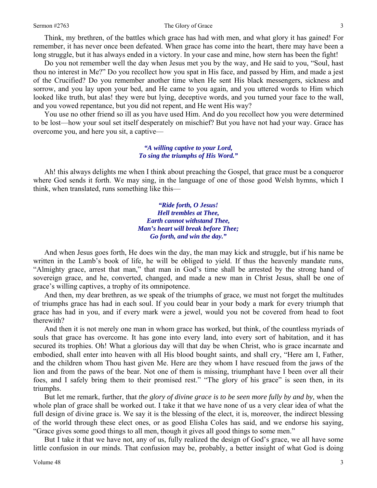### Sermon #2763 3 3

Think, my brethren, of the battles which grace has had with men, and what glory it has gained! For remember, it has never once been defeated. When grace has come into the heart, there may have been a long struggle, but it has always ended in a victory. In your case and mine, how stern has been the fight!

Do you not remember well the day when Jesus met you by the way, and He said to you, "Soul, hast thou no interest in Me?" Do you recollect how you spat in His face, and passed by Him, and made a jest of the Crucified? Do you remember another time when He sent His black messengers, sickness and sorrow, and you lay upon your bed, and He came to you again, and you uttered words to Him which looked like truth, but alas! they were but lying, deceptive words, and you turned your face to the wall, and you vowed repentance, but you did not repent, and He went His way?

You use no other friend so ill as you have used Him. And do you recollect how you were determined to be lost—how your soul set itself desperately on mischief? But you have not had your way. Grace has overcome you, and here you sit, a captive—

## *"A willing captive to your Lord, To sing the triumphs of His Word."*

Ah! this always delights me when I think about preaching the Gospel, that grace must be a conqueror where God sends it forth. We may sing, in the language of one of those good Welsh hymns, which I think, when translated, runs something like this—

> *"Ride forth, O Jesus! Hell trembles at Thee, Earth cannot withstand Thee, Man's heart will break before Thee; Go forth, and win the day."*

And when Jesus goes forth, He does win the day, the man may kick and struggle, but if his name be written in the Lamb's book of life, he will be obliged to yield. If thus the heavenly mandate runs, "Almighty grace, arrest that man," that man in God's time shall be arrested by the strong hand of sovereign grace, and he, converted, changed, and made a new man in Christ Jesus, shall be one of grace's willing captives, a trophy of its omnipotence.

And then, my dear brethren, as we speak of the triumphs of grace, we must not forget the multitudes of triumphs grace has had in each soul. If you could bear in your body a mark for every triumph that grace has had in you, and if every mark were a jewel, would you not be covered from head to foot therewith?

And then it is not merely one man in whom grace has worked, but think, of the countless myriads of souls that grace has overcome. It has gone into every land, into every sort of habitation, and it has secured its trophies. Oh! What a glorious day will that day be when Christ, who is grace incarnate and embodied, shall enter into heaven with all His blood bought saints, and shall cry, "Here am I, Father, and the children whom Thou hast given Me. Here are they whom I have rescued from the jaws of the lion and from the paws of the bear. Not one of them is missing, triumphant have I been over all their foes, and I safely bring them to their promised rest." "The glory of his grace" is seen then, in its triumphs.

But let me remark, further, that *the glory of divine grace is to be seen more fully by and by,* when the whole plan of grace shall be worked out. I take it that we have none of us a very clear idea of what the full design of divine grace is. We say it is the blessing of the elect, it is, moreover, the indirect blessing of the world through these elect ones, or as good Elisha Coles has said, and we endorse his saying, "Grace gives some good things to all men, though it gives all good things to some men."

But I take it that we have not, any of us, fully realized the design of God's grace, we all have some little confusion in our minds. That confusion may be, probably, a better insight of what God is doing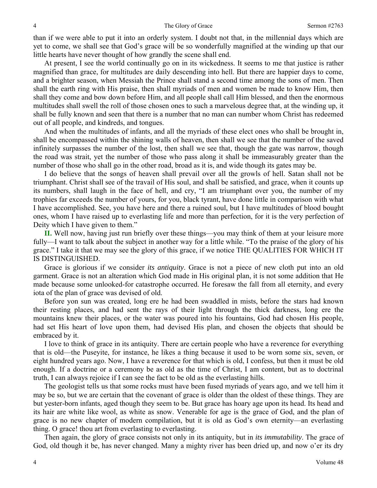than if we were able to put it into an orderly system. I doubt not that, in the millennial days which are yet to come, we shall see that God's grace will be so wonderfully magnified at the winding up that our little hearts have never thought of how grandly the scene shall end.

At present, I see the world continually go on in its wickedness. It seems to me that justice is rather magnified than grace, for multitudes are daily descending into hell. But there are happier days to come, and a brighter season, when Messiah the Prince shall stand a second time among the sons of men. Then shall the earth ring with His praise, then shall myriads of men and women be made to know Him, then shall they come and bow down before Him, and all people shall call Him blessed, and then the enormous multitudes shall swell the roll of those chosen ones to such a marvelous degree that, at the winding up, it shall be fully known and seen that there is a number that no man can number whom Christ has redeemed out of all people, and kindreds, and tongues.

And when the multitudes of infants, and all the myriads of these elect ones who shall be brought in, shall be encompassed within the shining walls of heaven, then shall we see that the number of the saved infinitely surpasses the number of the lost, then shall we see that, though the gate was narrow, though the road was strait, yet the number of those who pass along it shall be immeasurably greater than the number of those who shall go in the other road, broad as it is, and wide though its gates may be.

I do believe that the songs of heaven shall prevail over all the growls of hell. Satan shall not be triumphant. Christ shall see of the travail of His soul, and shall be satisfied, and grace, when it counts up its numbers, shall laugh in the face of hell, and cry, "I am triumphant over you, the number of my trophies far exceeds the number of yours, for you, black tyrant, have done little in comparison with what I have accomplished. See, you have here and there a ruined soul, but I have multitudes of blood bought ones, whom I have raised up to everlasting life and more than perfection, for it is the very perfection of Deity which I have given to them."

**II.** Well now, having just run briefly over these things—you may think of them at your leisure more fully—I want to talk about the subject in another way for a little while. "To the praise of the glory of his grace." I take it that we may see the glory of this grace, if we notice THE QUALITIES FOR WHICH IT IS DISTINGUISHED.

Grace is glorious if we consider *its antiquity*. Grace is not a piece of new cloth put into an old garment. Grace is not an alteration which God made in His original plan, it is not some addition that He made because some unlooked-for catastrophe occurred. He foresaw the fall from all eternity, and every iota of the plan of grace was devised of old.

Before yon sun was created, long ere he had been swaddled in mists, before the stars had known their resting places, and had sent the rays of their light through the thick darkness, long ere the mountains knew their places, or the water was poured into his fountains, God had chosen His people, had set His heart of love upon them, had devised His plan, and chosen the objects that should be embraced by it.

I love to think of grace in its antiquity. There are certain people who have a reverence for everything that is old—the Puseyite, for instance, he likes a thing because it used to be worn some six, seven, or eight hundred years ago. Now, I have a reverence for that which is old, I confess, but then it must be old enough. If a doctrine or a ceremony be as old as the time of Christ, I am content, but as to doctrinal truth, I can always rejoice if I can see the fact to be old as the everlasting hills.

The geologist tells us that some rocks must have been fused myriads of years ago, and we tell him it may be so, but we are certain that the covenant of grace is older than the oldest of these things. They are but yester-born infants, aged though they seem to be. But grace has hoary age upon its head. Its head and its hair are white like wool, as white as snow. Venerable for age is the grace of God, and the plan of grace is no new chapter of modern compilation, but it is old as God's own eternity—an everlasting thing. O grace! thou art from everlasting to everlasting.

Then again, the glory of grace consists not only in its antiquity, but in *its immutability*. The grace of God, old though it be, has never changed. Many a mighty river has been dried up, and now o'er its dry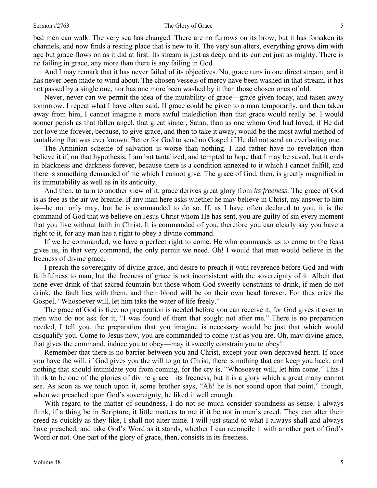#### Sermon #2763 Sermon #2763 Sermon #2763 Sermon #2763 Sermon #2763 Sermon #2763 Sermon #2763 Sermon #2763 Sermon #2763 Sermon #2763 Sermon #2763 Sermon #2763 Sermon #2763 Sermon #2763 Sermon #2763 Sermon #2763 Sermon #2763 S

bed men can walk. The very sea has changed. There are no furrows on its brow, but it has forsaken its channels, and now finds a resting place that is new to it. The very sun alters, everything grows dim with age but grace flows on as it did at first. Its stream is just as deep, and its current just as mighty. There is no failing in grace, any more than there is any failing in God.

And I may remark that it has never failed of its objectives. No, grace runs in one direct stream, and it has never been made to wind about. The chosen vessels of mercy have been washed in that stream, it has not passed by a single one, nor has one more been washed by it than those chosen ones of old.

Never, never can we permit the idea of the mutability of grace—grace given today, and taken away tomorrow. I repeat what I have often said. If grace could be given to a man temporarily, and then taken away from him, I cannot imagine a more awful malediction than that grace would really be. I would sooner perish as that fallen angel, that great sinner, Satan, than as one whom God had loved, if He did not love me forever, because, to give grace, and then to take it away, would be the most awful method of tantalizing that was ever known. Better for God to send no Gospel if He did not send an everlasting one.

The Arminian scheme of salvation is worse than nothing. I had rather have no revelation than believe it if, on that hypothesis, I am but tantalized, and tempted to hope that I may be saved, but it ends in blackness and darkness forever, because there is a condition annexed to it which I cannot fulfill, and there is something demanded of me which I cannot give. The grace of God, then, is greatly magnified in its immutability as well as in its antiquity.

And then, to turn to another view of it, grace derives great glory from *its freeness*. The grace of God is as free as the air we breathe. If any man here asks whether he may believe in Christ, my answer to him is—he not only may, but he is commanded to do so. If, as I have often declared to you, it is the command of God that we believe on Jesus Christ whom He has sent, you are guilty of sin every moment that you live without faith in Christ. It is commanded of you, therefore you can clearly say you have a right to it, for any man has a right to obey a divine command.

If we be commanded, we have a perfect right to come. He who commands us to come to the feast gives us, in that very command, the only permit we need. Oh! I would that men would believe in the freeness of divine grace.

I preach the sovereignty of divine grace, and desire to preach it with reverence before God and with faithfulness to man, but the freeness of grace is not inconsistent with the sovereignty of it. Albeit that none ever drink of that sacred fountain but those whom God sweetly constrains to drink, if men do not drink, the fault lies with them, and their blood will be on their own head forever. For thus cries the Gospel, "Whosoever will, let him take the water of life freely."

The grace of God is free, no preparation is needed before you can receive it, for God gives it even to men who do not ask for it, "I was found of them that sought not after me." There is no preparation needed, I tell you, the preparation that you imagine is necessary would be just that which would disqualify you. Come to Jesus now, you are commanded to come just as you are. Oh, may divine grace, that gives the command, induce you to obey—may it sweetly constrain you to obey!

Remember that there is no barrier between you and Christ, except your own depraved heart. If once you have the will, if God gives you the will to go to Christ, there is nothing that can keep you back, and nothing that should intimidate you from coming, for the cry is, "Whosoever will, let him come." This I think to be one of the glories of divine grace—its freeness, but it is a glory which a great many cannot see. As soon as we touch upon it, some brother says, "Ah! he is not sound upon that point," though, when we preached upon God's sovereignty, he liked it well enough.

With regard to the matter of soundness, I do not so much consider soundness as sense. I always think, if a thing be in Scripture, it little matters to me if it be not in men's creed. They can alter their creed as quickly as they like, I shall not alter mine. I will just stand to what I always shall and always have preached, and take God's Word as it stands, whether I can reconcile it with another part of God's Word or not. One part of the glory of grace, then, consists in its freeness.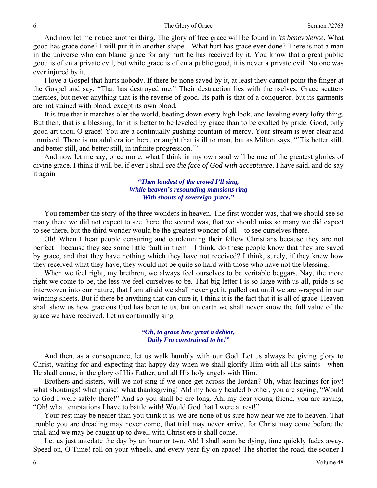And now let me notice another thing. The glory of free grace will be found in *its benevolence*. What good has grace done? I will put it in another shape—What hurt has grace ever done? There is not a man in the universe who can blame grace for any hurt he has received by it. You know that a great public good is often a private evil, but while grace is often a public good, it is never a private evil. No one was ever injured by it.

I love a Gospel that hurts nobody. If there be none saved by it, at least they cannot point the finger at the Gospel and say, "That has destroyed me." Their destruction lies with themselves. Grace scatters mercies, but never anything that is the reverse of good. Its path is that of a conqueror, but its garments are not stained with blood, except its own blood.

It is true that it marches o'er the world, beating down every high look, and leveling every lofty thing. But then, that is a blessing, for it is better to be leveled by grace than to be exalted by pride. Good, only good art thou, O grace! You are a continually gushing fountain of mercy. Your stream is ever clear and unmixed. There is no adulteration here, or aught that is ill to man, but as Milton says, "'Tis better still, and better still, and better still, in infinite progression.'"

And now let me say, once more, what I think in my own soul will be one of the greatest glories of divine grace. I think it will be, if ever I shall *see the face of God with acceptance*. I have said, and do say it again—

> *"Then loudest of the crowd I'll sing, While heaven's resounding mansions ring With shouts of sovereign grace."*

You remember the story of the three wonders in heaven. The first wonder was, that we should see so many there we did not expect to see there, the second was, that we should miss so many we did expect to see there, but the third wonder would be the greatest wonder of all—to see ourselves there.

Oh! When I hear people censuring and condemning their fellow Christians because they are not perfect—because they see some little fault in them—I think, do these people know that they are saved by grace, and that they have nothing which they have not received? I think, surely, if they knew how they received what they have, they would not be quite so hard with those who have not the blessing.

When we feel right, my brethren, we always feel ourselves to be veritable beggars. Nay, the more right we come to be, the less we feel ourselves to be. That big letter I is so large with us all, pride is so interwoven into our nature, that I am afraid we shall never get it, pulled out until we are wrapped in our winding sheets. But if there be anything that can cure it, I think it is the fact that it is all of grace. Heaven shall show us how gracious God has been to us, but on earth we shall never know the full value of the grace we have received. Let us continually sing—

## *"Oh, to grace how great a debtor, Daily I'm constrained to be!"*

And then, as a consequence, let us walk humbly with our God. Let us always be giving glory to Christ, waiting for and expecting that happy day when we shall glorify Him with all His saints—when He shall come, in the glory of His Father, and all His holy angels with Him.

Brothers and sisters, will we not sing if we once get across the Jordan? Oh, what leapings for joy! what shoutings! what praise! what thanksgiving! Ah! my hoary headed brother, you are saying, "Would" to God I were safely there!" And so you shall be ere long. Ah, my dear young friend, you are saying, "Oh! what temptations I have to battle with! Would God that I were at rest!"

Your rest may be nearer than you think it is, we are none of us sure how near we are to heaven. That trouble you are dreading may never come, that trial may never arrive, for Christ may come before the trial, and we may be caught up to dwell with Christ ere it shall come.

Let us just antedate the day by an hour or two. Ah! I shall soon be dying, time quickly fades away. Speed on, O Time! roll on your wheels, and every year fly on apace! The shorter the road, the sooner I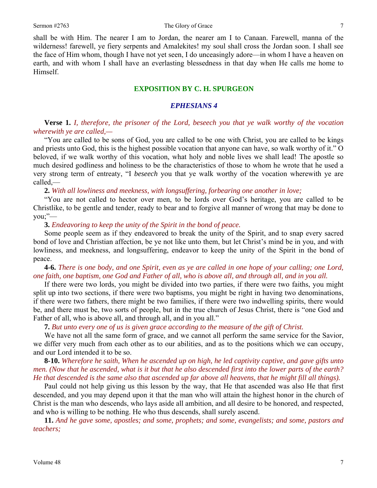shall be with Him. The nearer I am to Jordan, the nearer am I to Canaan. Farewell, manna of the wilderness! farewell, ye fiery serpents and Amalekites! my soul shall cross the Jordan soon. I shall see the face of Him whom, though I have not yet seen, I do unceasingly adore—in whom I have a heaven on earth, and with whom I shall have an everlasting blessedness in that day when He calls me home to Himself.

## **EXPOSITION BY C. H. SPURGEON**

## *EPHESIANS 4*

**Verse 1.** *I, therefore, the prisoner of the Lord, beseech you that ye walk worthy of the vocation wherewith ye are called,—* 

"You are called to be sons of God, you are called to be one with Christ, you are called to be kings and priests unto God, this is the highest possible vocation that anyone can have, so walk worthy of it." O beloved, if we walk worthy of this vocation, what holy and noble lives we shall lead! The apostle so much desired godliness and holiness to be the characteristics of those to whom he wrote that he used a very strong term of entreaty, "I *beseech* you that ye walk worthy of the vocation wherewith ye are called,—

**2.** *With all lowliness and meekness, with longsuffering, forbearing one another in love;* 

"You are not called to hector over men, to be lords over God's heritage, you are called to be Christlike, to be gentle and tender, ready to bear and to forgive all manner of wrong that may be done to you;"—

## **3.** *Endeavoring to keep the unity of the Spirit in the bond of peace.*

Some people seem as if they endeavored to break the unity of the Spirit, and to snap every sacred bond of love and Christian affection, be ye not like unto them, but let Christ's mind be in you, and with lowliness, and meekness, and longsuffering, endeavor to keep the unity of the Spirit in the bond of peace.

**4-6.** *There is one body, and one Spirit, even as ye are called in one hope of your calling; one Lord, one faith, one baptism, one God and Father of all, who is above all, and through all, and in you all.* 

If there were two lords, you might be divided into two parties, if there were two faiths, you might split up into two sections, if there were two baptisms, you might be right in having two denominations, if there were two fathers, there might be two families, if there were two indwelling spirits, there would be, and there must be, two sorts of people, but in the true church of Jesus Christ, there is "one God and Father of all, who is above all, and through all, and in you all."

**7.** *But unto every one of us is given grace according to the measure of the gift of Christ.* 

We have not all the same form of grace, and we cannot all perform the same service for the Savior, we differ very much from each other as to our abilities, and as to the positions which we can occupy, and our Lord intended it to be so.

**8-10.** *Wherefore he saith, When he ascended up on high, he led captivity captive, and gave gifts unto men. (Now that he ascended, what is it but that he also descended first into the lower parts of the earth? He that descended is the same also that ascended up far above all heavens, that he might fill all things).* 

Paul could not help giving us this lesson by the way, that He that ascended was also He that first descended, and you may depend upon it that the man who will attain the highest honor in the church of Christ is the man who descends, who lays aside all ambition, and all desire to be honored, and respected, and who is willing to be nothing. He who thus descends, shall surely ascend.

**11.** *And he gave some, apostles; and some, prophets; and some, evangelists; and some, pastors and teachers;*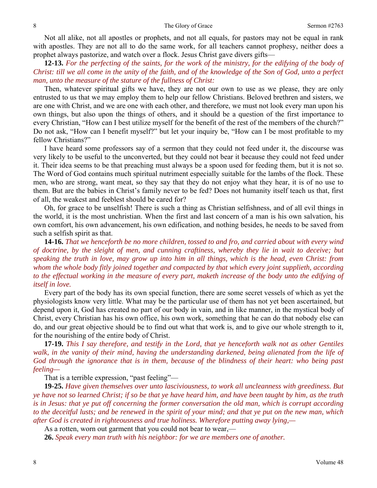Not all alike, not all apostles or prophets, and not all equals, for pastors may not be equal in rank with apostles. They are not all to do the same work, for all teachers cannot prophesy, neither does a prophet always pastorize, and watch over a flock. Jesus Christ gave divers gifts—

**12-13.** *For the perfecting of the saints, for the work of the ministry, for the edifying of the body of Christ: till we all come in the unity of the faith, and of the knowledge of the Son of God, unto a perfect man, unto the measure of the stature of the fullness of Christ:* 

Then, whatever spiritual gifts we have, they are not our own to use as we please, they are only entrusted to us that we may employ them to help our fellow Christians. Beloved brethren and sisters, we are one with Christ, and we are one with each other, and therefore, we must not look every man upon his own things, but also upon the things of others, and it should be a question of the first importance to every Christian, "How can I best utilize myself for the benefit of the rest of the members of the church?" Do not ask, "How can I benefit myself?" but let your inquiry be, "How can I be most profitable to my fellow Christians?"

I have heard some professors say of a sermon that they could not feed under it, the discourse was very likely to be useful to the unconverted, but they could not bear it because they could not feed under it. Their idea seems to be that preaching must always be a spoon used for feeding them, but it is not so. The Word of God contains much spiritual nutriment especially suitable for the lambs of the flock. These men, who are strong, want meat, so they say that they do not enjoy what they hear, it is of no use to them. But are the babies in Christ's family never to be fed? Does not humanity itself teach us that, first of all, the weakest and feeblest should be cared for?

Oh, for grace to be unselfish! There is such a thing as Christian selfishness, and of all evil things in the world, it is the most unchristian. When the first and last concern of a man is his own salvation, his own comfort, his own advancement, his own edification, and nothing besides, he needs to be saved from such a selfish spirit as that.

**14-16.** *That we henceforth be no more children, tossed to and fro, and carried about with every wind of doctrine, by the sleight of men, and cunning craftiness, whereby they lie in wait to deceive; but speaking the truth in love, may grow up into him in all things, which is the head, even Christ: from whom the whole body fitly joined together and compacted by that which every joint supplieth, according to the effectual working in the measure of every part, maketh increase of the body unto the edifying of itself in love.* 

Every part of the body has its own special function, there are some secret vessels of which as yet the physiologists know very little. What may be the particular use of them has not yet been ascertained, but depend upon it, God has created no part of our body in vain, and in like manner, in the mystical body of Christ, every Christian has his own office, his own work, something that he can do that nobody else can do, and our great objective should be to find out what that work is, and to give our whole strength to it, for the nourishing of the entire body of Christ.

**17-19.** *This I say therefore, and testify in the Lord, that ye henceforth walk not as other Gentiles walk, in the vanity of their mind, having the understanding darkened, being alienated from the life of God through the ignorance that is in them, because of the blindness of their heart: who being past feeling—* 

That is a terrible expression, "past feeling"—

**19-25.** *Have given themselves over unto lasciviousness, to work all uncleanness with greediness. But ye have not so learned Christ; if so be that ye have heard him, and have been taught by him, as the truth is in Jesus: that ye put off concerning the former conversation the old man, which is corrupt according to the deceitful lusts; and be renewed in the spirit of your mind; and that ye put on the new man, which after God is created in righteousness and true holiness. Wherefore putting away lying,—* 

As a rotten, worn out garment that you could not bear to wear,—

**26.** *Speak every man truth with his neighbor: for we are members one of another.*